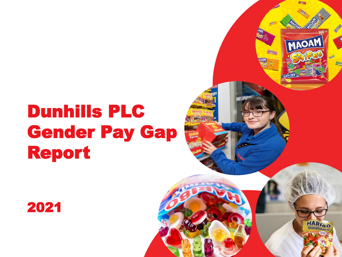# Dunhills PLC Gender Pay Gap Report





HARIBO

MAOAM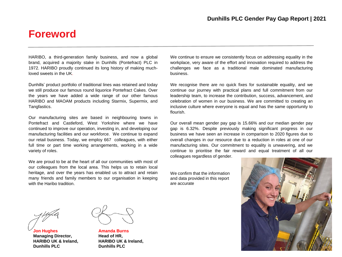### **Foreword**

HARIBO, a third-generation family business, and now a global brand, acquired a majority stake in Dunhills (Pontefract) PLC in 1972. HARIBO proudly continued its long history of making muchloved sweets in the UK.

Dunhills' product portfolio of traditional lines was retained and today we still produce our famous round liquorice Pontefract Cakes. Over the years we have added a wide range of our other famous HARIBO and MAOAM products including Starmix, Supermix, and Tangfastics.

Our manufacturing sites are based in neighbouring towns in Pontefract and Castleford, West Yorkshire where we have continued to improve our operation, investing in, and developing our manufacturing facilities and our workforce. We continue to expand our retail business. Today, we employ 667 colleagues, with either full time or part time working arrangements, working in a wide variety of roles.

We are proud to be at the heart of all our communities with most of our colleagues from the local area. This helps us to retain local heritage, and over the years has enabled us to attract and retain many friends and family members to our organisation in keeping with the Haribo tradition.

We continue to ensure we consistently focus on addressing equality in the workplace, very aware of the effort and innovation required to address the challenges we face as a traditional male dominated manufacturing business.

We recognise there are no quick fixes for sustainable equality, and we continue our journey with practical plans and full commitment from our leadership team, to increase the contribution, success, advancement, and celebration of women in our business. We are committed to creating an inclusive culture where everyone is equal and has the same opportunity to flourish.

Our overall mean gender pay gap is 15.66% and our median gender pay gap is 6.32%. Despite previously making significant progress in our business we have seen an increase in comparison to 2020 figures due to overall changes in our resource due to a reduction in roles at one of our manufacturing sites. Our commitment to equality is unwavering, and we continue to prioritise the fair reward and equal treatment of all our colleagues regardless of gender.

We confirm that the information and data provided in this report are accurate



**Jon Hughes Managing Director, HARIBO UK & Ireland, Dunhills PLC**



**Amanda Burns Head of HR, HARIBO UK & Ireland, Dunhills PLC**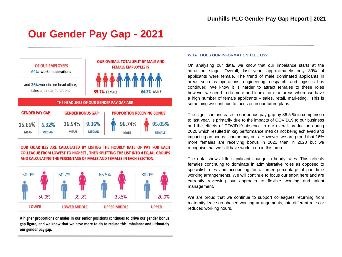## **Our Gender Pay Gap - 2021**



OUR QUARTILES ARE CALCULATED BY LISTING THE HOURLY RATE OF PAY FOR EACH **COLLEAGUE FROM LOWEST TO HIGHEST, THEN SPLITTING THE LIST INTO 4 EQUAL GROUPS** AND CALCULATING THE PERCENTAGE OF MALES AND FEMALES IN EACH SESCTION.



A higher proportions or males in our senior positions continues to drive our gender bonus gap figure, and we know that we have more to do to reduce this imbalance and ultimately our gender pay gap.

#### **WHAT DOES OUR INFORMATION TELL US?**

On analysing our data, we know that our imbalance starts at the attraction stage. Overall, last year, approximately only 39% of applicants were female. The trend of male dominated applicants in areas such as operations, engineering, despatch, and logistics has continued. We know it is harder to attract females to these roles however we need to do more and learn from the areas where we have a high number of female applicants – sales, retail, marketing. This is something we continue to focus on in our future plans.

The significant increase in our bonus pay gap by 36.5 % in comparison to last year, is primarily due to the impacts of COVID19 to our business and the effects of COVID19 absence to our overall production during 2020 which resulted in key performance metrics not being achieved and impacting on bonus scheme pay outs. However, we are proud that 16% more females are receiving bonus in 2021 than in 2020 but we recognise that we still have work to do in this area.

The data shows little significant change in hourly rates. This reflects females continuing to dominate in administrative roles as opposed to specialist roles and accounting for a larger percentage of part time working arrangements. We will continue to focus our effort here and are currently reviewing our approach to flexible working and talent management.

We are proud that we continue to support colleagues returning from maternity leave on phased working arrangements, into different roles or reduced working hours.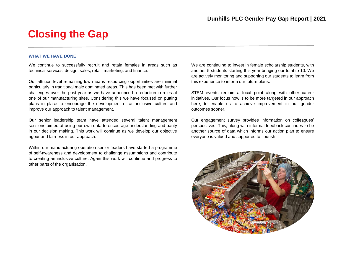### **Closing the Gap**

#### **WHAT WE HAVE DONE**

We continue to successfully recruit and retain females in areas such as technical services, design, sales, retail, marketing, and finance.

Our attrition level remaining low means resourcing opportunities are minimal particularly in traditional male dominated areas. This has been met with further challenges over the past year as we have announced a reduction in roles at one of our manufacturing sites. Considering this we have focused on putting plans in place to encourage the development of an inclusive culture and improve our approach to talent management.

Our senior leadership team have attended several talent management sessions aimed at using our own data to encourage understanding and parity in our decision making. This work will continue as we develop our objective rigour and fairness in our approach.

Within our manufacturing operation senior leaders have started a programme of self-awareness and development to challenge assumptions and contribute to creating an inclusive culture. Again this work will continue and progress to other parts of the organisation.

We are continuing to invest in female scholarship students, with another 5 students starting this year bringing our total to 10. We are actively monitoring and supporting our students to learn from this experience to inform our future plans.

STEM events remain a focal point along with other career initiatives. Our focus now is to be more targeted in our approach here, to enable us to achieve improvement in our gender outcomes sooner.

Our engagement survey provides information on colleagues' perspectives. This, along with informal feedback continues to be another source of data which informs our action plan to ensure everyone is valued and supported to flourish.

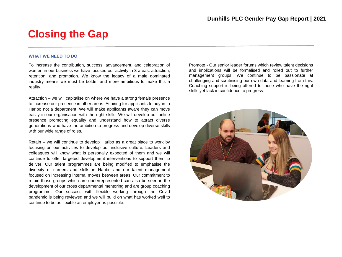### **Closing the Gap**

#### **WHAT WE NEED TO DO**

To increase the contribution, success, advancement, and celebration of women in our business we have focused our activity in 3 areas: attraction, retention, and promotion. We know the legacy of a male dominated industry means we must be bolder and more ambitious to make this a reality.

Attraction – we will capitalise on where we have a strong female presence to increase our presence in other areas. Aspiring for applicants to buy-in to Haribo not a department. We will make applicants aware they can move easily in our organisation with the right skills. We will develop our online presence promoting equality and understand how to attract diverse generations who have the ambition to progress and develop diverse skills with our wide range of roles.

Retain – we will continue to develop Haribo as a great place to work by focusing on our activities to develop our inclusive culture. Leaders and colleagues will know what is personally expected of them and we will continue to offer targeted development interventions to support them to deliver. Our talent programmes are being modified to emphasise the diversity of careers and skills in Haribo and our talent management focused on increasing internal moves between areas. Our commitment to retain those groups which are underrepresented can also be seen in the development of our cross departmental mentoring and are group coaching programme. Our success with flexible working through the Covid pandemic is being reviewed and we will build on what has worked well to continue to be as flexible an employer as possible.

Promote - Our senior leader forums which review talent decisions and implications will be formalised and rolled out to further management groups. We continue to be passionate at challenging and scrutinising our own data and learning from this. Coaching support is being offered to those who have the right skills yet lack in confidence to progress.